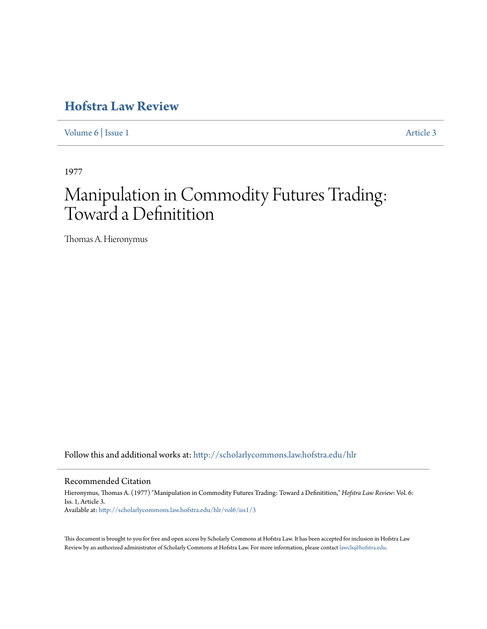## **[Hofstra Law Review](http://scholarlycommons.law.hofstra.edu/hlr?utm_source=scholarlycommons.law.hofstra.edu%2Fhlr%2Fvol6%2Fiss1%2F3&utm_medium=PDF&utm_campaign=PDFCoverPages)**

[Volume 6](http://scholarlycommons.law.hofstra.edu/hlr/vol6?utm_source=scholarlycommons.law.hofstra.edu%2Fhlr%2Fvol6%2Fiss1%2F3&utm_medium=PDF&utm_campaign=PDFCoverPages) | [Issue 1](http://scholarlycommons.law.hofstra.edu/hlr/vol6/iss1?utm_source=scholarlycommons.law.hofstra.edu%2Fhlr%2Fvol6%2Fiss1%2F3&utm_medium=PDF&utm_campaign=PDFCoverPages) [Article 3](http://scholarlycommons.law.hofstra.edu/hlr/vol6/iss1/3?utm_source=scholarlycommons.law.hofstra.edu%2Fhlr%2Fvol6%2Fiss1%2F3&utm_medium=PDF&utm_campaign=PDFCoverPages)

1977

# Manipulation in Commodity Futures Trading: Toward a Definitition

Thomas A. Hieronymus

Follow this and additional works at: [http://scholarlycommons.law.hofstra.edu/hlr](http://scholarlycommons.law.hofstra.edu/hlr?utm_source=scholarlycommons.law.hofstra.edu%2Fhlr%2Fvol6%2Fiss1%2F3&utm_medium=PDF&utm_campaign=PDFCoverPages)

Recommended Citation

Hieronymus, Thomas A. (1977) "Manipulation in Commodity Futures Trading: Toward a Definitition," *Hofstra Law Review*: Vol. 6: Iss. 1, Article 3. Available at: [http://scholarlycommons.law.hofstra.edu/hlr/vol6/iss1/3](http://scholarlycommons.law.hofstra.edu/hlr/vol6/iss1/3?utm_source=scholarlycommons.law.hofstra.edu%2Fhlr%2Fvol6%2Fiss1%2F3&utm_medium=PDF&utm_campaign=PDFCoverPages)

This document is brought to you for free and open access by Scholarly Commons at Hofstra Law. It has been accepted for inclusion in Hofstra Law Review by an authorized administrator of Scholarly Commons at Hofstra Law. For more information, please contact [lawcls@hofstra.edu](mailto:lawcls@hofstra.edu).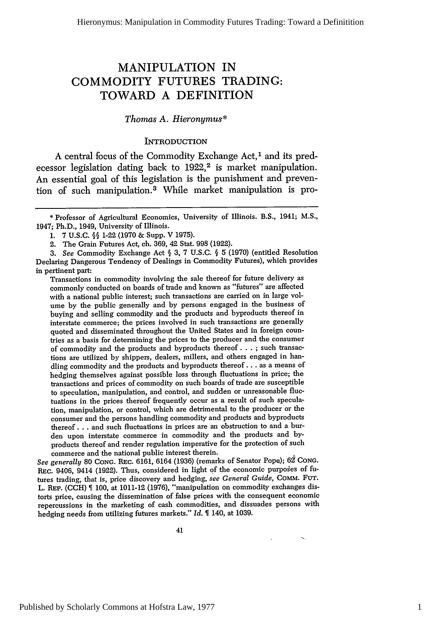### MANIPULATION IN COMMODITY **FUTURES** TRADING: TOWARD **A** DEFINITION

#### *Thomas A. Hieronymus\**

#### **INTRODUCTION**

A central focus of the Commodity Exchange Act,<sup>1</sup> and its predecessor legislation dating back to 1922,<sup>2</sup> is market manipulation. An essential goal of this legislation is the punishment and prevention of such manipulation. 3 While market manipulation is pro-

*3. See* Commodity Exchange Act § **3,** 7 U.S.C. § 5 (1970) (entitled Resolution Declaring Dangerous Tendency of Dealings in Commodity Futures), which provides in pertinent part:

Transactions in commodity involving the sale thereof for future delivery as commonly conducted on boards of trade and known as "futures" are affected with a national public interest; such transactions are carried on in large volume by the public generally and by persons engaged in the business of buying and selling commodity and the products and byproducts thereof in interstate commerce; the prices involved in such transactions are generally quoted and disseminated throughout the United States and in foreign countries as a basis for determining the prices to the producer and the consumer of commodity and the products and byproducts thereof **... ;** such transactions are utilized by shippers, dealers, millers, and others engaged in handling commodity and the products and byproducts thereof.., as a means of hedging themselves against possible loss through fluctuations in price; the transactions and prices of commodity on such boards of trade are susceptible to speculation, manipulation, and control, and sudden or unreasonable fluctuations in the prices thereof frequently occur as a result of such speculation, manipulation, or control, which are detrimental to the producer or the consumer and the persons handling commodity and products and byproducts thereof.., and such fluctuations in prices are an obstruction to and a burden upon interstate commerce in commodity and the products and byproducts thereof and render regulation imperative for the protection of such commerce and the national public interest therein.

See generally 80 CONG. REC. 6161, 6164 (1936) (remarks of Senator Pope); 62 CONG. REC. 9406, 9414 (1922). Thus, considered in light of the economic purposes of futures trading, that is, price discovery and hedging, *see General Guide,* COMM. **FUT.** L. **REP. (CCH)** 100, at 1011-12 (1976), "manipulation on commodity exchanges distorts price, causing the dissemination of false prices with the consequent economic repercussions in the marketing of cash commodities, and dissuades persons with hedging needs from utilizing futures markets." *Id.* 140, at 1039.

41

<sup>\*</sup> Professor of Agricultural Economics, University of Illinois. B.S., 1941; M.S., 1947; Ph.D., 1949, University of Illinois.

<sup>1. 7</sup> U.S.C. §§ 1-22 (1970 & Supp. V 1975).

<sup>2.</sup> The Grain Futures Act, ch. 369, 42 Stat. 998 (1922).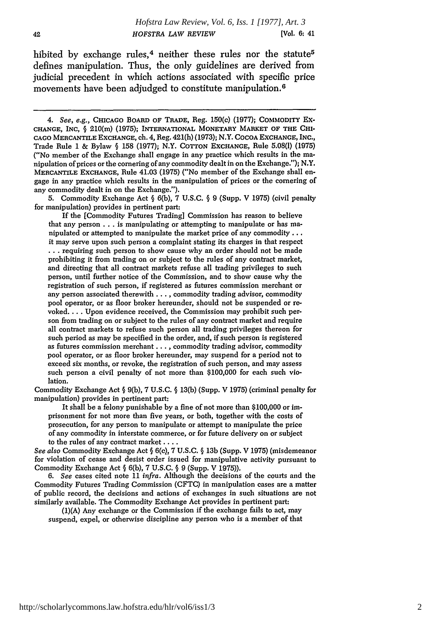hibited by exchange rules,<sup>4</sup> neither these rules nor the statute<sup>5</sup> defines manipulation. Thus, the only guidelines are derived from judicial precedent in which actions associated with specific price movements have been adjudged to constitute manipulation.<sup>6</sup>

5. Commodity Exchange Act **§** 6(b), 7 U.S.C. **§** 9 (Supp. V 1975) (civil penalty for manipulation) provides in pertinent part:

If the [Commodity Futures Trading] Commission has reason to believe that any person **...** is manipulating or attempting to manipulate or has manipulated or attempted to manipulate the market price of any commodity... it may serve upon such person a complaint stating its charges in that respect **...** requiring such person to show cause why an order should not be made prohibiting it from trading on or subject to the rules of any contract market, and directing that all contract markets refuse all trading privileges to such person, until further notice of the Commission, and to show cause why the registration of such person, if registered as futures commission merchant or any person associated therewith. . **. ,** commodity trading advisor, commodity pool operator, or as floor broker hereunder, should not be suspended or revoked.... Upon evidence received, the Commission may prohibit such person from trading on or subject to the rules of any contract market and require all contract markets to refuse such person all trading privileges thereon for such period as may be specified in the order, and, if such person is registered as futures commission merchant..., commodity trading advisor, commodity pool operator, or as floor broker hereunder, may suspend for a period not to exceed six months, or revoke, the registration of such person, and may assess such person a civil penalty of not more than \$100,000 for each such violation.

Commodity Exchange Act § 9(b), 7 **U.S.C. § 13(b)** (Supp. V 1975) (criminal penalty for manipulation) provides in pertinent part:

It shall be a felony punishable **by** a fine of not more than \$100,000 or *im*prisonment for not more than five years, or both, together with the costs of prosecution, for any person to manipulate or attempt to manipulate the price of any commodity in interstate commerce, or for future delivery on or subject to the rules of any contract market ....

*See also* Commodity Exchange Act § **6(c),** 7 U.S.C. **§** 13b (Supp. V 1975) (misdemeanor for violation of cease and desist order issued for manipulative activity pursuant to Commodity Exchange Act § 6(b), 7 U.S.C. § 9 (Supp. V 1975)).

*6. See* cases cited note 11 *infra.* Although the decisions of the courts and the Commodity Futures Trading Commission (CFTC) in manipulation cases are a matter of public record, the decisions and actions of exchanges in such situations are not similarly available. The Commodity Exchange Act provides in pertinent part:

(1)(A) Any exchange or the Commission if the exchange fails to act, may suspend, expel, or otherwise discipline any person who is a member of that

*<sup>4.</sup>* See, e.g., **CHICAGO** BOARD **OF TRADE,** Reg. 150(c) (1977); COMMODITY Ex-**CHANGE,** INC, **§** 210(m) (1975); INTERNATIONAL MONETARY MARKET OF THE **CHI-**CAGO MERCANTILE EXCHANGE, ch. 4, Reg. 421(h) (1973); N.Y. COCOA EXCHANGE, INC., Trade Rule 1 & Bylaw § 158 (1977); N.Y. COTTON EXCHANGE, Rule 5.08() (1975) ("No member of the Exchange shall engage in any practice which results in the manipulation of prices or the cornering of any commodity dealt in on the Exchange."); N.Y. MERCANTILE EXCHANGE, Rule 41.03 (1975) ("No member of the Exchange shall engage in any practice which results in the manipulation of prices or the cornering of any commodity dealt in on the Exchange.").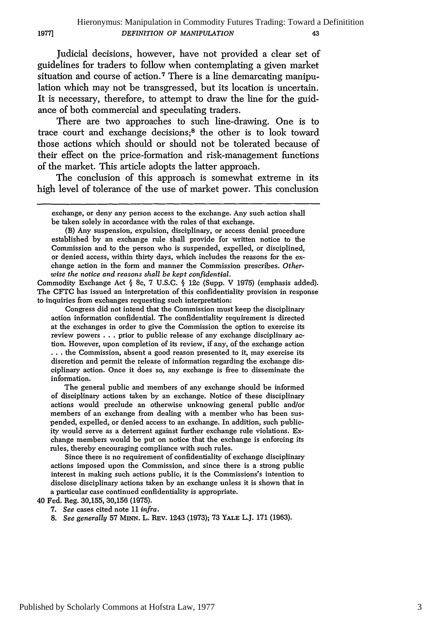Judicial decisions, however, have not provided a clear set of guidelines for traders to follow when contemplating a given market situation and course of action.<sup>7</sup> There is a line demarcating manipulation which may not be transgressed, but its location is uncertain. It is necessary, therefore, to attempt to draw the line for the guidance of both commercial and speculating traders.

**1977]**

There are two approaches to such line-drawing. One is to trace court and exchange decisions;8 the other is to look toward those actions which should or should not be tolerated because of their effect on the price-formation and risk-management functions of the market. This article adopts the latter approach.

The conclusion of this approach is somewhat extreme in its high level of tolerance of the use of market power. This conclusion

Commodity Exchange Act § 8c, 7 U.S.C. § 12c (Supp. V 1975) (emphasis added). The CFTC has issued an interpretation of this confidentiality provision in response to inquiries from exchanges requesting such interpretation:

Congress did not intend that the Commission must keep the disciplinary action information confidential. The confidentiality requirement is directed at the exchanges in order to give the Commission the option to exercise its review powers . . . prior to public release of any exchange disciplinary action. However, upon completion of its review, if any, of the exchange action **...** the Commission, absent a good reason presented to it, may exercise its discretion and permit the release of information regarding the exchange disciplinary action. Once it does so, any exchange is free to disseminate the information.

The general public and members of any exchange should be informed of disciplinary actions taken by an exchange. Notice of these disciplinary actions would preclude an otherwise unknowing general public and/or members of an exchange from dealing with a member who has been suspended, expelled, or denied access to an exchange. In addition, such publicity would serve as a deterrent against further exchange rule violations. Exchange members would be put on notice that the exchange is enforcing its rules, thereby encouraging compliance with such rules.

Since there is no requirement of confidentiality of exchange disciplinary actions imposed upon the Commission, and since there is a strong public interest in making such actions public, it is the Commissions's intention to disclose disciplinary actions taken by an exchange unless it is shown that in a particular case continued confidentiality is appropriate.

40 Fed. Reg. 30,155, 30,156 (1975).

- 7. *See* cases cited note 11 *infra.*
- 8. *See generally* 57 MINN. L. BEv. 1243 (1973); 73 YALE LJ. **171** (1963).

exchange, or deny any person access to the exchange. Any such action shall be taken solely in accordance with the rules of that exchange.

<sup>(</sup>B) Any suspension, expulsion, disciplinary, or access denial procedure established by an exchange rule shall provide for written notice to the Commission and to the person who is suspended, expelled, or disciplined, or denied access, within thirty days, which includes the reasons for the exchange action in the form and manner the Commission prescribes. *Otherwise the notice and reasons shall be kept confidential.*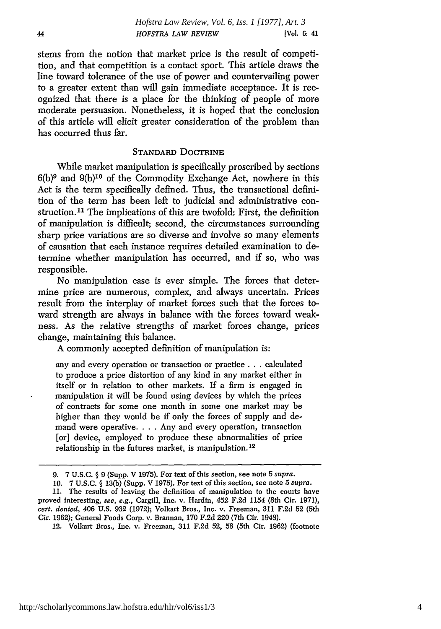stems from the notion that market price is the result of competition, and that competition is a contact sport. This article draws the line toward tolerance of the use of power and countervailing power to a greater extent than will gain immediate acceptance. It is recognized that there is a place for the thinking of people of more moderate persuasion. Nonetheless, it is hoped that the conclusion of this article will elicit greater consideration of the problem than has occurred thus far.

#### STANDARD DOCTRINE

While market manipulation is specifically proscribed by sections  $6(b)^9$  and  $9(b)^{10}$  of the Commodity Exchange Act, nowhere in this Act is the term specifically defined. Thus, the transactional definition of the term has been left to judicial and administrative construction.<sup>11</sup> The implications of this are twofold: First, the definition of manipulation is difficult; second, the circumstances surrounding sharp price variations are so diverse and involve so many elements of causation that each instance requires detailed examination to determine whether manipulation has occurred, and if so, who was responsible.

No manipulation case is ever simple. The forces that determine price are numerous, complex, and always uncertain. Prices result from the interplay of market forces such that the forces toward strength are always in balance with the forces toward weakness. As the relative strengths of market forces change, prices change, maintaining this balance.

A commonly accepted definition of manipulation is:

any and every operation or transaction or practice **...** calculated to produce a price distortion of any kind in any market either in itself or in relation to other markets. If a firm is engaged in manipulation it will be found using devices by which the prices of contracts for some one month in some one market may be higher than they would be if only the forces of supply and demand were operative. . . . Any and every operation, transaction [or] device, employed to produce these abnormalities of price relationship in the futures market, is manipulation.1<sup>2</sup>

<sup>9. 7</sup> U.S.C. **§** 9 (Supp. V 1975). For text of this section, see note 5 *supra.*

<sup>10. 7</sup> U.S.C. § 13(b) (Supp. V 1975). For text of this section, see note 5 *supra.*

<sup>11.</sup> The results of leaving the definition of manipulation to the courts have proved interesting, *see, e.g.,* Cargill, Inc. v. Hardin, 452 F.2d 1154 (8th Cir. 1971), *cert. denied,* 406 U.S. 932 (1972); Volkart Bros., Inc. v. Freeman, 311 F.2d 52 (5th Cir. 1962); General Foods Corp. v. Brannan, 170 F.2d 220 (7th Cir. 1948).

<sup>12.</sup> Volkart Bros., Inc. v. Freeman, 311 F.2d 52, 58 (5th Cir. 1962) (footnote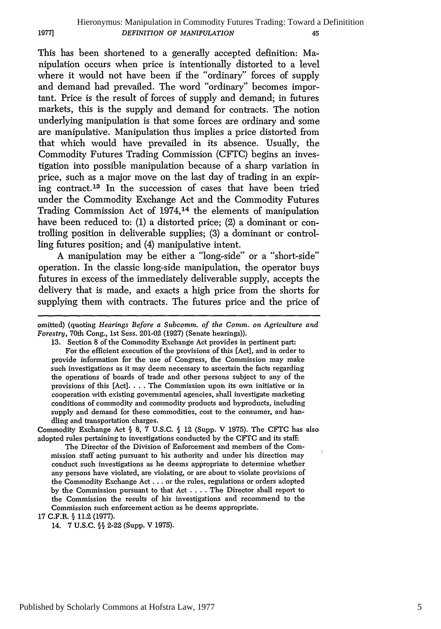This has been shortened to a generally accepted definition: Manipulation occurs when price is intentionally distorted to a level where it would not have been if the "ordinary" forces of supply and demand had prevailed. The word "ordinary" becomes important. Price is the result of forces of supply and demand; in futures markets, this is the supply and demand for contracts. The notion underlying manipulation is that some forces are ordinary and some are manipulative. Manipulation thus implies a price distorted from that which would have prevailed in its absence. Usually, the Commodity Futures Trading Commission (CFTC) begins an investigation into possible manipulation because of a sharp variation in price, such as a major move on the last day of trading in an expiring contract. 13 In the succession of cases that have been tried under the Commodity Exchange Act and the Commodity Futures Trading Commission Act of 1974,14 the elements of manipulation have been reduced to: (1) a distorted price; (2) a dominant or controlling position in deliverable supplies; (3) a dominant or controlling futures position; and (4) manipulative intent.

A manipulation may be either a "long-side" or a "short-side" operation. In the classic long-side manipulation, the operator buys futures in excess of the immediately deliverable supply, accepts the delivery that is made, and exacts a high price from the shorts for supplying them with contracts. The futures price and the price of

omitted) (quoting *Hearings Before a Subcomm. of the Comm. on Agriculture and Forestry,* 70th Cong., 1st Sess. 201-02 (1927) (Senate hearings)).

13. Section 8 of the Commodity Exchange Act provides in pertinent part: For the efficient execution of the provisions of this [Act], and in order to provide information for the use of Congress, the Commission may make such investigations as it may deem necessary to ascertain the facts regarding the operations of boards of trade and other persons subject to any of the provisions of this [Act]. . . . The Commission upon its own initiative or in cooperation with existing governmental agencies, shall investigate marketing conditions of commodity and commodity products and byproducts, including supply and demand for these commodities, cost to the consumer, and handling and transportation charges.

Commodity Exchange Act § 8, 7 U.S.C. § 12 (Supp. V 1975). The CFTC has also adopted rules pertaining to investigations conducted by the CFTC and its staff:

The Director of the Division of Enforcement and members of the Commission staff acting pursuant to his authority and under his direction may conduct such investigations as he deems appropriate to determine whether any persons have violated, are violating, or are about to violate provisions of the Commodity Exchange Act. **.** . or the rules, regulations or orders adopted by the Commission pursuant to that Act .... The Director shall report to the Commission the results of his investigations and recommend to the Commission such enforcement action as he deems appropriate.

**17** C.F.R. § 11.2 (1977).

**1977]**

14. 7 U.S.C. §§ 2-22 (Supp. V 1975).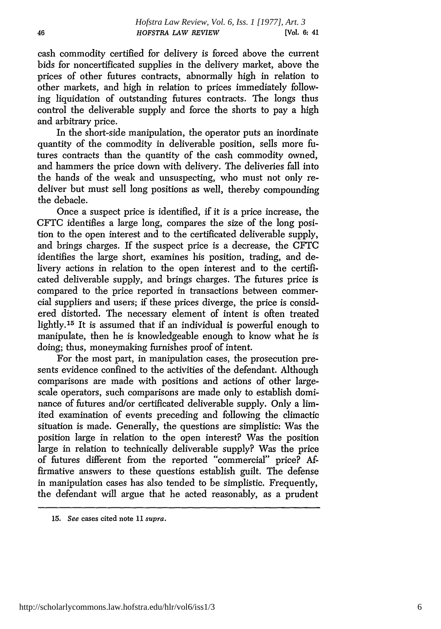cash commodity certified for delivery is forced above the current bids for noncertificated supplies in the delivery market, above the prices of other futures contracts, abnormally high in relation to other markets, and high in relation to prices immediately following liquidation of outstanding futures contracts. The longs thus control the deliverable supply and force the shorts to pay a high and arbitrary price.

In the short-side manipulation, the operator puts an inordinate quantity of the commodity in deliverable position, sells more futures contracts than the quantity of the cash commodity owned, and hammers the price down with delivery. The deliveries fall into the hands of the weak and unsuspecting, who must not only redeliver but must sell long positions as well, thereby compounding the debacle.

Once a suspect price is identified, if it is a price increase, the CFTC identifies a large long, compares the size of the long position to the open interest and to the certificated deliverable supply, and brings charges. If the suspect price is a decrease, the CFTC identifies the large short, examines his position, trading, and delivery actions in relation to the open interest and to the certificated deliverable supply, and brings charges. The futures price is compared to the price reported in transactions between commercial suppliers and users; if these prices diverge, the price is considered distorted. The necessary element of intent is often treated lightly.<sup>15</sup> It is assumed that if an individual is powerful enough to manipulate, then he is knowledgeable enough to know what he is doing; thus, moneymaking furnishes proof of intent.

For the most part, in manipulation cases, the prosecution presents evidence confined to the activities of the defendant. Although comparisons are made with positions and actions of other largescale operators, such comparisons are made only to establish dominance of futures and/or certificated deliverable supply. Only a limited examination of events preceding and following the climactic situation is made. Generally, the questions are simplistic: Was the position large in relation to the open interest? Was the position large in relation to technically deliverable supply? Was the price of futures different from the reported "commercial" price? Affirmative answers to these questions establish guilt. The defense in manipulation cases has also tended to be simplistic. Frequently, the defendant will argue that he acted reasonably, as a prudent

15. *See* cases cited note 11 supra.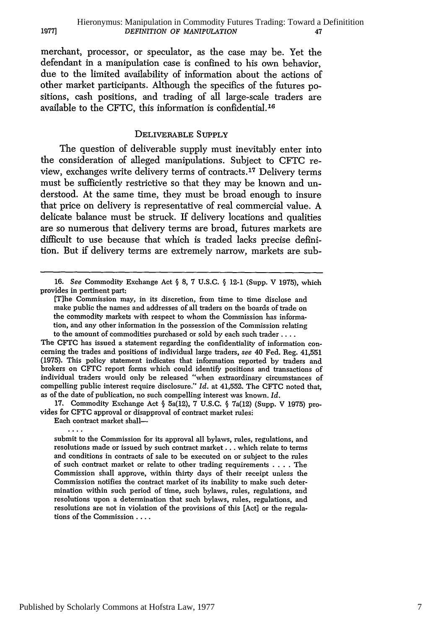merchant, processor, or speculator, as the case may be. Yet the defendant in a manipulation case is confined to his own behavior, due to the limited availability of information about the actions of other market participants. Although the specifics of the futures positions, cash positions, and trading of all large-scale traders are available to the CFTC, this information is confidential. 16

#### DELIVERABLE SUPPLY

The question of deliverable supply must inevitably enter into the consideration of alleged manipulations. Subject to CFTC review, exchanges write delivery terms of contracts.17 Delivery terms must be sufficiently restrictive so that they may be known and understood. At the same time, they must be broad enough to insure that price on delivery is representative of real commercial value. A delicate balance must be struck. If delivery locations and qualities are so numerous that delivery terms are broad, futures markets are difficult to use because that which is traded lacks precise definition. But if delivery terms are extremely narrow, markets are sub-

The CFTC has issued a statement regarding the confidentiality of information concerning the trades and positions of individual large traders, *see* 40 Fed. Reg. 41,551 (1975). This policy statement indicates that information reported by traders and brokers on CFTC report forms which could identify positions and transactions of individual traders would only be released "when extraordinary circumstances of compelling public interest require disclosure." *Id.* at 41,552. The CFTC noted that, as of the date of publication, no such compelling interest was known. *Id.*

17. Commodity Exchange Act § 5a(12), 7 U.S.C. § 7a(12) (Supp. V 1975) provides for CFTC approval or disapproval of contract market rules:

Each contract market shall-

 $\ldots$ 

**1977]**

submit to the Commission for its approval all bylaws, rules, regulations, and resolutions made or issued by such contract market... which relate to terms and conditions in contracts of sale to be executed on or subject to the rules of such contract market or relate to other trading requirements .**. .** .The Commission shall approve, within thirty days of their receipt unless the Commission notifies the contract market of its inability to make such determination within such period of time, such bylaws, rules, regulations, and resolutions upon a determination that such bylaws, rules, regulations, and resolutions are not in violation of the provisions of this [Act] or the regulations of the Commission ....

<sup>16.</sup> *See* Commodity Exchange Act § 8, 7 U.S.C. § 12-1 (Supp. V 1975), which provides in pertinent part:

<sup>[</sup>Tihe Commission may, in its discretion, from time to time disclose and make public the names and addresses of all traders on the boards of trade on the commodity markets with respect to whom the Commission has information, and any other information in the possession of the Commission relating to the amount of commodities purchased or sold by each such trader **...**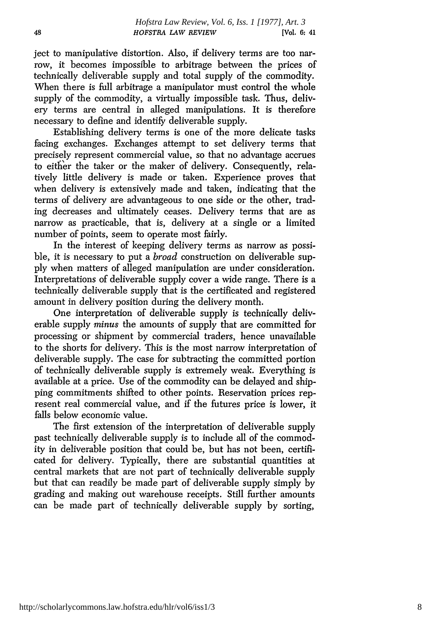ject to manipulative distortion. Also, if delivery terms are too narrow, it becomes impossible to arbitrage between the prices of technically deliverable supply and total supply of the commodity. When there is full arbitrage a manipulator must control the whole supply of the commodity, a virtually impossible task. Thus, delivery terms are central in alleged manipulations. It is therefore necessary to define and identify deliverable supply.

Establishing delivery terms is one of the more delicate tasks facing exchanges. Exchanges attempt to set delivery terms that precisely represent commercial value, so that no advantage accrues to either the taker or the maker of delivery. Consequently, relatively little delivery is made or taken. Experience proves that when delivery is extensively made and taken, indicating that the terms of delivery are advantageous to one side or the other, trading decreases and ultimately ceases. Delivery terms that are as narrow as practicable, that is, delivery at a single or a limited number of points, seem to operate most fairly.

In the interest of keeping delivery terms as narrow as possible, it is necessary to put a *broad* construction on deliverable supply when matters of alleged manipulation are under consideration. Interpretations of deliverable supply cover a wide range. There is a technically deliverable supply that is the certificated and registered amount in delivery position during the delivery month.

One interpretation of deliverable supply is technically deliverable supply *minus* the amounts of supply that are committed for processing or shipment by commercial traders, hence unavailable to the shorts for delivery. This is the most narrow interpretation of deliverable supply. The case for subtracting the committed portion of technically deliverable supply is extremely weak. Everything is available at a price. Use of the commodity can be delayed and shipping commitments shifted to other points. Reservation prices represent real commercial value, and if the futures price is lower, it falls below economic value.

The first extension of the interpretation of deliverable supply past technically deliverable supply is to include all of the commodity in deliverable position that could be, but has not been, certificated for delivery. Typically, there are substantial quantities at central markets that are not part of technically deliverable supply but that can readily be made part of deliverable supply simply by grading and making out warehouse receipts. Still further amounts can be made part of technically deliverable supply by sorting,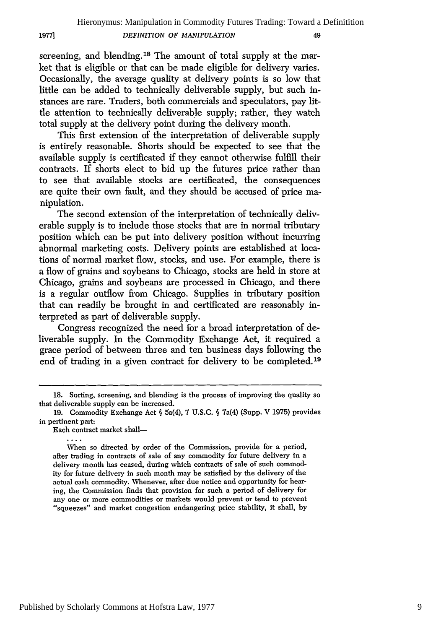screening, and blending.18 The amount of total supply at the market that is eligible or that can be made eligible for delivery varies. Occasionally, the average quality at delivery points is so low that little can be added to technically deliverable supply, but such instances are rare. Traders, both commercials and speculators, pay little attention to technically deliverable supply; rather, they watch total supply at the delivery point during the delivery month.

This first extension of the interpretation of deliverable supply is entirely reasonable. Shorts should be expected to see that the available supply is certificated if they cannot otherwise fulfill their contracts. If shorts elect to bid up the futures price rather than to see that available stocks are certificated, the consequences are quite their own fault, and they should be accused of price manipulation.

The second extension of the interpretation of technically deliverable supply is to include those stocks that are in normal tributary position which can be put into delivery position without incurring abnormal marketing costs. Delivery points are established at locations of normal market flow, stocks, and use. For example, there is a flow of grains and soybeans to Chicago, stocks are held in store at Chicago, grains and soybeans are processed in Chicago, and there is a regular outflow from Chicago. Supplies in tributary position that can readily be brought in and certificated are reasonably interpreted as part of deliverable supply.

Congress recognized the need for a broad interpretation of deliverable supply. In the Commodity Exchange Act, it required a grace period of between three and ten business days following the end of trading in a given contract for delivery to be completed.<sup>19</sup>

Each contract market shall-

**19771**

When so directed by order of the Commission, provide for a period, after trading in contracts of sale of any commodity for future delivery in a delivery month has ceased, during which contracts of sale of such commodity for future delivery in such month may be satisfied by the delivery of the actual cash commodity. Whenever, after due notice and opportunity for hearing, the Commission finds that provision for such a period of delivery for any one or more commodities or markets would prevent or tend to prevent "squeezes" and market congestion endangering price stability, it shall, by

<sup>18.</sup> Sorting, screening, and blending is the process of improving the quality so that deliverable supply can be increased.

<sup>19.</sup> Commodity Exchange Act § 5a(4), **7** U.S.C. § 7a(4) (Supp. V 1975) provides in pertinent part: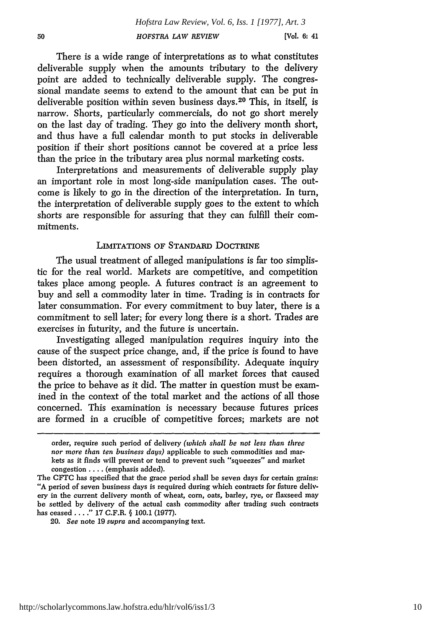There is a wide range of interpretations as to what constitutes deliverable supply when the amounts tributary to the delivery point are added to technically deliverable supply. The congressional mandate seems to extend to the amount that can be put in deliverable position within seven business days. 20 This, in itself, is narrow. Shorts, particularly commercials, do not go short merely on the last day of trading. They go into the delivery month short, and thus have a full calendar month to put stocks in deliverable position if their short positions cannot be covered at a price less than the price in the tributary area plus normal marketing costs.

Interpretations and measurements of deliverable supply play an important role in most long-side manipulation cases. The outcome is likely to go in the direction of the interpretation. In turn, the interpretation of deliverable supply goes to the extent to which shorts are responsible for assuring that they can fulfill their commitments.

#### LIMITATIONS OF STANDARD DOCTRINE

The usual treatment of alleged manipulations is far too simplistic for the real world. Markets are competitive, and competition takes place among people. A futures contract is an agreement to buy and sell a commodity later in time. Trading is in contracts for later consummation. For every commitment to buy later, there is a commitment to sell later; for every long there is a short. Trades are exercises in futurity, and the future is uncertain.

Investigating alleged manipulation requires inquiry into the cause of the suspect price change, and, if the price is found to have been distorted, an assessment of responsibility. Adequate inquiry requires a thorough examination of all market forces that caused the price to behave as it did. The matter in question must be examined in the context of the total market and the actions of all those concerned. This examination is necessary because futures prices are formed in a crucible of competitive forces; markets are not

order, require such period of delivery *(which shall be not less than three nor more than ten business days)* applicable to such commodities and markets as it finds will prevent or tend to prevent such "squeezes" and market congestion .... (emphasis added).

The CFTC has specified that the grace period shall be seven days for certain grains: "A period of seven business days is required during which contracts for future delivery in the current delivery month of wheat, corn, oats, barley, rye, or flaxseed may be settled **by** delivery of the actual cash commodity after trading such contracts has ceased ...." 17 C.F.R. **§** 100.1 (1977).

<sup>20.</sup> *See* note 19 *supra* and accompanying text.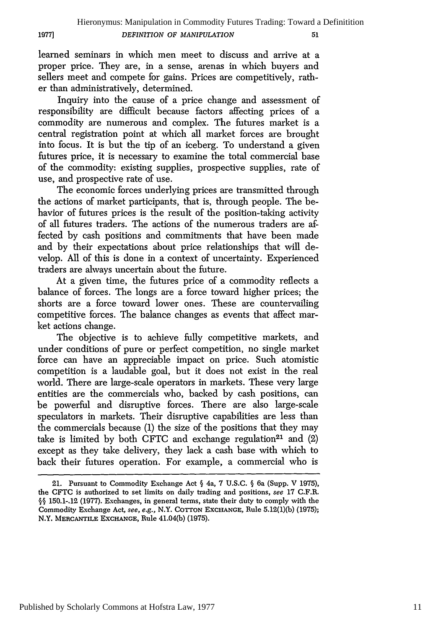learned seminars in which men meet to discuss and arrive at a proper price. They are, in a sense, arenas in which buyers and sellers meet and compete for gains. Prices are competitively, rather than administratively, determined.

**1977]**

Inquiry into the cause of a price change and assessment of responsibility are difficult because factors affecting prices of a commodity are numerous and complex. The futures market is a central registration point at which all market forces are brought into focus. It is but the tip of an iceberg. To understand a given futures price, it is necessary to examine the total commercial base of the commodity: existing supplies, prospective supplies, rate of use, and prospective rate of use.

The economic forces underlying prices are transmitted through the actions of market participants, that is, through people. The behavior of futures prices is the result of the position-taking activity of all futures traders. The actions of the numerous traders are affected by cash positions and commitments that have been made and by their expectations about price relationships that will develop. All of this is done in a context of uncertainty. Experienced traders are always uncertain about the future.

At a given time, the futures price of a commodity reflects a balance of forces. The longs are a force toward higher prices; the shorts are a force toward lower ones. These are countervailing competitive forces. The balance changes as events that affect market actions change.

The objective is to achieve fully competitive markets, and under conditions of pure or perfect competition, no single market force can have an appreciable impact on price. Such atomistic competition is a laudable goal, but it does not exist in the real world. There are large-scale operators in markets. These very large entities are the commercials who, backed by cash positions, can be powerful and disruptive forces. There are also large-scale speculators in markets. Their disruptive capabilities are less than the commercials because **(1)** the size of the positions that they may take is limited by both CFTC and exchange regulation<sup>21</sup> and  $(2)$ except as they take delivery, they lack a cash base with which to back their futures operation. For example, a commercial who is

Published by Scholarly Commons at Hofstra Law, 1977

<sup>21.</sup> Pursuant to Commodity Exchange Act § 4a, 7 U.S.C. § 6a (Supp. V 1975), the CFTC is authorized to set limits on daily trading and positions, *see* **17** C.F.R. §§ 150.1-.12 (1977). Exchanges, in general terms, state their duty to comply with the Commodity Exchange Act, *see, e.g.,* N.Y. **COTTON** EXCHANGE, Rule 5.12(1)(b) (1975); N.Y. MERCANTILE **EXCHANGE,** Rule 41.04(b) (1975).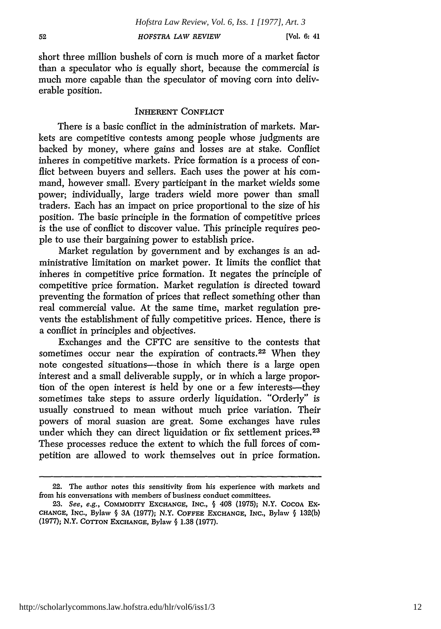short three million bushels of corn is much more of a market factor than a speculator who is equally short, because the commercial is much more capable than the speculator of moving corn into deliverable position.

#### INHERENT CONFLICT

There is a basic conflict in the administration of markets. Markets are competitive contests among people whose judgments are backed by money, where gains and losses are at stake. Conflict inheres in competitive markets. Price formation is a process of conflict between buyers and sellers. Each uses the power at his command, however small. Every participant in the market wields some power; individually, large traders wield more power than small traders. Each has an impact on price proportional to the size of his position. The basic principle in the formation of competitive prices is the use of conflict to discover value. This principle requires people to use their bargaining power to establish price.

Market regulation **by** government and by exchanges is an administrative limitation on market power. It limits the conflict that inheres in competitive price formation. It negates the principle of competitive price formation. Market regulation is directed toward preventing the formation of prices that reflect something other than real commercial value. At the same time, market regulation prevents the establishment of fully competitive prices. Hence, there is a conflict in principles and objectives.

Exchanges and the CFTC are sensitive to the contests that sometimes occur near the expiration of contracts.<sup>22</sup> When they note congested situations—those in which there is a large open interest and a small deliverable supply, or in which a large proportion of the open interest is held by one or a few interests-they sometimes take steps to assure orderly liquidation. "Orderly" is usually construed to mean without much price variation. Their powers of moral suasion are great. Some exchanges have rules under which they can direct liquidation or fix settlement prices.<sup>23</sup> These processes reduce the extent to which the full forces of competition are allowed to work themselves out in price formation.

<sup>22.</sup> The author notes this sensitivity from his experience with markets and from his conversations with members of business conduct committees.

**<sup>23.</sup>** See, e.g., COMMODITY EXCHANGE, INC., § 408 (1975); N.Y. **COCOA** Ex-**CHANGE, INC.,** Bylaw § 3A **(1977);** N.Y. **COFFEE EXCHANGE, INC.,** Bylaw § 132(b) **(1977);** N.Y. **COTTON EXCHANGE,** Bylaw § **1.38 (1977).**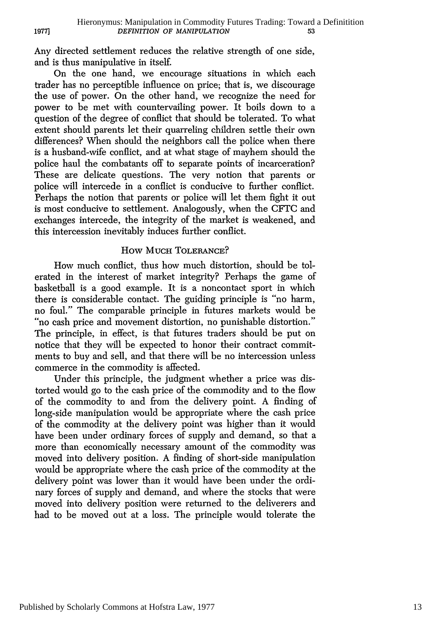Any directed settlement reduces the relative strength of one side, and is thus manipulative in itself.

**19771**

On the one hand, we encourage situations in which each trader has no perceptible influence on price; that is, we discourage the use of power. On the other hand, we recognize the need for power to be met with countervailing power. It boils down to a question of the degree of conflict that should be tolerated. To what extent should parents let their quarreling children settle their own differences? When should the neighbors call the police when there is a husband-wife conflict, and at what stage of mayhem should the police haul the combatants off to separate points of incarceration? These are delicate questions. The very notion that parents or police will intercede in a conflict is conducive to further conflict. Perhaps the notion that parents or police will let them fight it out is most conducive to settlement. Analogously, when the CFTC and exchanges intercede, the integrity of the market is weakened, and this intercession inevitably induces further conflict.

#### How MUCH TOLERANCE?

How much conflict, thus how much distortion, should be tolerated in the interest of market integrity? Perhaps the game of basketball is a good example. It is a noncontact sport in which there is considerable contact. The guiding principle is "no harm, no foul." The comparable principle in futures markets would be "no cash price and movement distortion, no punishable distortion." The principle, in effect, is that futures traders should be put on notice that they will be expected to honor their contract commitments to buy and sell, and that there will be no intercession unless commerce in the commodity is affected.

Under this principle, the judgment whether a price was distorted would go to the cash price of the commodity and to the flow of the commodity to and from the delivery point. A finding of long-side manipulation would be appropriate where the cash price of the commodity at the delivery point was higher than it would have been under ordinary forces of supply and demand, so that a more than economically necessary amount of the commodity was moved into delivery position. A finding of short-side manipulation would be appropriate where the cash price of the commodity at the delivery point was lower than it would have been under the ordinary forces of supply and demand, and where the stocks that were moved into delivery position were returned to the deliverers and had to be moved out at a loss. The principle would tolerate the

Published by Scholarly Commons at Hofstra Law, 1977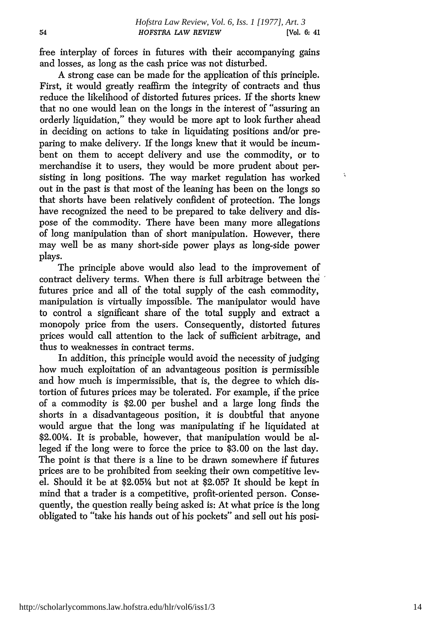$\tilde{\mathbf{A}}$ 

free interplay of forces in futures with their accompanying gains and losses, as long as the cash price was not disturbed.

A strong case can be made for the application of this principle. First, it would greatly reaffirm the integrity of contracts and thus reduce the likelihood of distorted futures prices. If the shorts knew that no one would lean on the longs in the interest of "assuring an orderly liquidation," they would be more apt to look further ahead in deciding on actions to take in liquidating positions and/or preparing to make delivery. If the longs knew that it would be incumbent on them to accept delivery and use the commodity, or to merchandise it to users, they would be more prudent about persisting in long positions. The way market regulation has worked out in the past is that most of the leaning has been on the longs so that shorts have been relatively confident of protection. The longs have recognized the need to be prepared to take delivery and dispose of the commodity. There have been many more allegations of long manipulation than of short manipulation. However, there may well be as many short-side power plays as long-side power plays.

The principle above would also lead to the improvement of contract delivery terms. When there is full arbitrage between the futures price and all of the total supply of the cash commodity, manipulation is virtually impossible. The manipulator would have to control a significant share of the total supply and extract a monopoly price from the users. Consequently, distorted futures prices would call attention to the lack of sufficient arbitrage, and thus to weaknesses in contract terms.

In addition, this principle would avoid the necessity of judging how much exploitation of an advantageous position is permissible and how much is impermissible, that is, the degree to which distortion of futures prices may be tolerated. For example, if the price of a commodity is \$2.00 per bushel and a large long finds the shorts in a disadvantageous position, it is doubtful that anyone would argue that the long was manipulating if he liquidated at \$2.00¼. It is probable, however, that manipulation would be alleged if the long were to force the price to \$3.00 on the last day. The point is that there is a line to be drawn somewhere if futures prices are to be prohibited from seeking their own competitive level. Should it be at \$2.05% but not at \$2.05? It should be kept in mind that a trader is a competitive, profit-oriented person. Consequently, the question really being asked is: At what price is the long obligated to "take his hands out of his pockets" and sell out his posi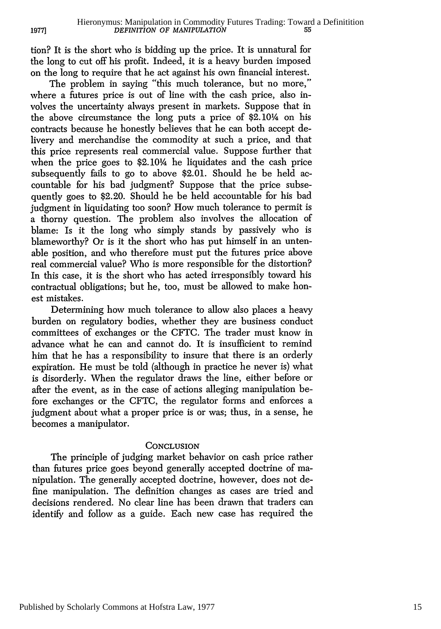tion? It is the short who is bidding up the price. It is unnatural for the long to cut off his profit. Indeed, it is a heavy burden imposed on the long to require that he act against his own financial interest.

**19771**

The problem in saying "this much tolerance, but no more," where a futures price is out of line with the cash price, also involves the uncertainty always present in markets. Suppose that in the above circumstance the long puts a price of \$2.10/4 on his contracts because he honestly believes that he can both accept delivery and merchandise the commodity at such a price, and that this price represents real commercial value. Suppose further that when the price goes to \$2.104 he liquidates and the cash price subsequently fails to go to above \$2.01. Should he be held accountable for his bad judgment? Suppose that the price subsequently goes to \$2.20. Should he be held accountable for his bad judgment in liquidating too soon? How much tolerance to permit is a thorny question. The problem also involves the allocation of blame: Is it the long who simply stands by passively who is blameworthy? Or is it the short who has put himself in an untenable position, and who therefore must put the futures price above real commercial value? Who is more responsible for the distortion? In this case, it is the short who has acted irresponsibly toward his contractual obligations; but he, too, must be allowed to make honest mistakes.

Determining how much tolerance to allow also places a heavy burden on regulatory bodies, whether they are business conduct committees of exchanges or the CFrC. The trader must know in advance what he can and cannot do. It is insufficient to remind him that he has a responsibility to insure that there is an orderly expiration. He must be told (although in practice he never is) what is disorderly. When the regulator draws the line, either before or after the event, as in the case of actions alleging manipulation before exchanges or the **CFTC,** the regulator forms and enforces a judgment about what a proper price is or was; thus, in a sense, he becomes a manipulator.

#### **CONCLUSION**

The principle of judging market behavior on cash price rather than futures price goes beyond generally accepted doctrine of manipulation. The generally accepted doctrine, however, does not define manipulation. The definition changes as cases are tried and decisions rendered. No clear line has been drawn that traders can identify and follow as a guide. Each new case has required the